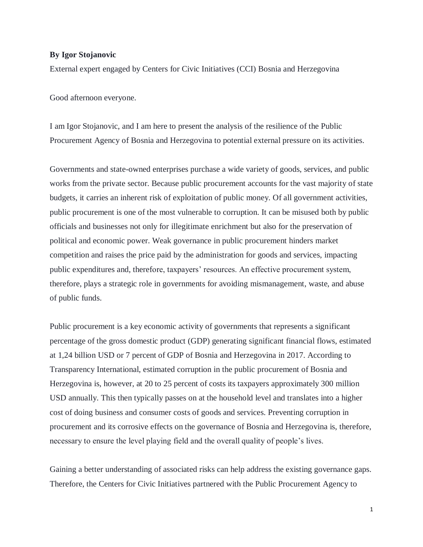## **By Igor Stojanovic**

External expert engaged by Centers for Civic Initiatives (CCI) Bosnia and Herzegovina

Good afternoon everyone.

I am Igor Stojanovic, and I am here to present the analysis of the resilience of the Public Procurement Agency of Bosnia and Herzegovina to potential external pressure on its activities.

Governments and state-owned enterprises purchase a wide variety of goods, services, and public works from the private sector. Because public procurement accounts for the vast majority of state budgets, it carries an inherent risk of exploitation of public money. Of all government activities, public procurement is one of the most vulnerable to corruption. It can be misused both by public officials and businesses not only for illegitimate enrichment but also for the preservation of political and economic power. Weak governance in public procurement hinders market competition and raises the price paid by the administration for goods and services, impacting public expenditures and, therefore, taxpayers' resources. An effective procurement system, therefore, plays a strategic role in governments for avoiding mismanagement, waste, and abuse of public funds.

Public procurement is a key economic activity of governments that represents a significant percentage of the gross domestic product (GDP) generating significant financial flows, estimated at 1,24 billion USD or 7 percent of GDP of Bosnia and Herzegovina in 2017. According to Transparency International, estimated corruption in the public procurement of Bosnia and Herzegovina is, however, at 20 to 25 percent of costs its taxpayers approximately 300 million USD annually. This then typically passes on at the household level and translates into a higher cost of doing business and consumer costs of goods and services. Preventing corruption in procurement and its corrosive effects on the governance of Bosnia and Herzegovina is, therefore, necessary to ensure the level playing field and the overall quality of people's lives.

Gaining a better understanding of associated risks can help address the existing governance gaps. Therefore, the Centers for Civic Initiatives partnered with the Public Procurement Agency to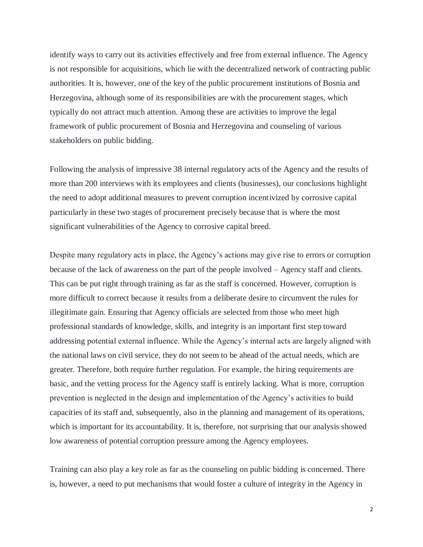identify ways to carry out its activities effectively and free from external influence. The Agency is not responsible for acquisitions, which lie with the decentralized network of contracting public authorities. It is, however, one of the key of the public procurement institutions of Bosnia and Herzegovina, although some of its responsibilities are with the procurement stages, which typically do not attract much attention. Among these are activities to improve the legal framework of public procurement of Bosnia and Herzegovina and counseling of various stakeholders on public bidding.

Following the analysis of impressive 38 internal regulatory acts of the Agency and the results of more than 200 interviews with its employees and clients (businesses), our conclusions highlight the need to adopt additional measures to prevent corruption incentivized by corrosive capital particularly in these two stages of procurement precisely because that is where the most significant vulnerabilities of the Agency to corrosive capital breed.

Despite many regulatory acts in place, the Agency's actions may give rise to errors or corruption because of the lack of awareness on the part of the people involved – Agency staff and clients. This can be put right through training as far as the staff is concerned. However, corruption is more difficult to correct because it results from a deliberate desire to circumvent the rules for illegitimate gain. Ensuring that Agency officials are selected from those who meet high professional standards of knowledge, skills, and integrity is an important first step toward addressing potential external influence. While the Agency's internal acts are largely aligned with the national laws on civil service, they do not seem to be ahead of the actual needs, which are greater. Therefore, both require further regulation. For example, the hiring requirements are basic, and the vetting process for the Agency staff is entirely lacking. What is more, corruption prevention is neglected in the design and implementation of the Agency's activities to build capacities of its staff and, subsequently, also in the planning and management of its operations, which is important for its accountability. It is, therefore, not surprising that our analysis showed low awareness of potential corruption pressure among the Agency employees.

Training can also play a key role as far as the counseling on public bidding is concerned. There is, however, a need to put mechanisms that would foster a culture of integrity in the Agency in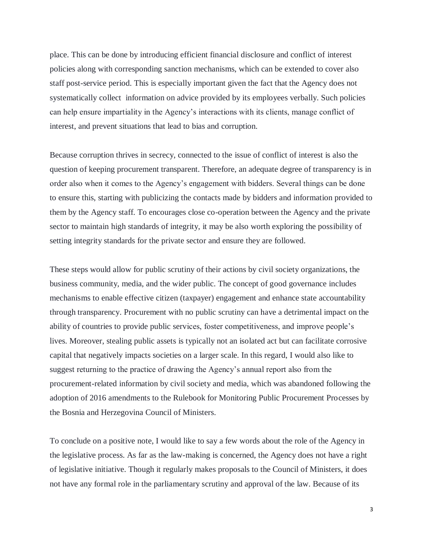place. This can be done by introducing efficient financial disclosure and conflict of interest policies along with corresponding sanction mechanisms, which can be extended to cover also staff post-service period. This is especially important given the fact that the Agency does not systematically collect information on advice provided by its employees verbally. Such policies can help ensure impartiality in the Agency's interactions with its clients, manage conflict of interest, and prevent situations that lead to bias and corruption.

Because corruption thrives in secrecy, connected to the issue of conflict of interest is also the question of keeping procurement transparent. Therefore, an adequate degree of transparency is in order also when it comes to the Agency's engagement with bidders. Several things can be done to ensure this, starting with publicizing the contacts made by bidders and information provided to them by the Agency staff. To encourages close co-operation between the Agency and the private sector to maintain high standards of integrity, it may be also worth exploring the possibility of setting integrity standards for the private sector and ensure they are followed.

These steps would allow for public scrutiny of their actions by civil society organizations, the business community, media, and the wider public. The concept of good governance includes mechanisms to enable effective citizen (taxpayer) engagement and enhance state accountability through transparency. Procurement with no public scrutiny can have a detrimental impact on the ability of countries to provide public services, foster competitiveness, and improve people's lives. Moreover, stealing public assets is typically not an isolated act but can facilitate corrosive capital that negatively impacts societies on a larger scale. In this regard, I would also like to suggest returning to the practice of drawing the Agency's annual report also from the procurement-related information by civil society and media, which was abandoned following the adoption of 2016 amendments to the Rulebook for Monitoring Public Procurement Processes by the Bosnia and Herzegovina Council of Ministers.

To conclude on a positive note, I would like to say a few words about the role of the Agency in the legislative process. As far as the law-making is concerned, the Agency does not have a right of legislative initiative. Though it regularly makes proposals to the Council of Ministers, it does not have any formal role in the parliamentary scrutiny and approval of the law. Because of its